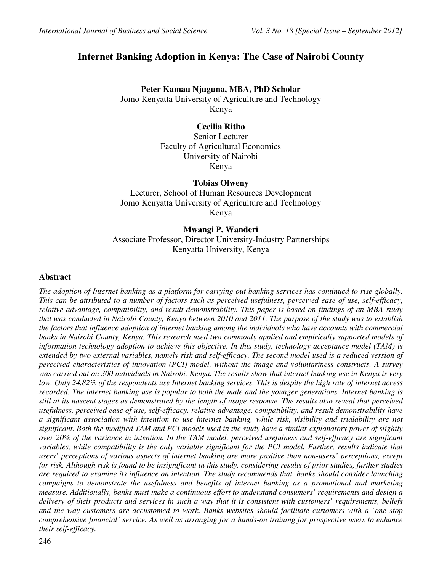# **Internet Banking Adoption in Kenya: The Case of Nairobi County**

## **Peter Kamau Njuguna, MBA, PhD Scholar**

Jomo Kenyatta University of Agriculture and Technology Kenya

## **Cecilia Ritho**

Senior Lecturer Faculty of Agricultural Economics University of Nairobi Kenya

## **Tobias Olweny**

Lecturer, School of Human Resources Development Jomo Kenyatta University of Agriculture and Technology Kenya

**Mwangi P. Wanderi**  Associate Professor, Director University-Industry Partnerships Kenyatta University, Kenya

## **Abstract**

*The adoption of Internet banking as a platform for carrying out banking services has continued to rise globally. This can be attributed to a number of factors such as perceived usefulness, perceived ease of use, self-efficacy, relative advantage, compatibility, and result demonstrability. This paper is based on findings of an MBA study that was conducted in Nairobi County, Kenya between 2010 and 2011. The purpose of the study was to establish the factors that influence adoption of internet banking among the individuals who have accounts with commercial banks in Nairobi County, Kenya. This research used two commonly applied and empirically supported models of information technology adoption to achieve this objective. In this study, technology acceptance model (TAM) is extended by two external variables, namely risk and self-efficacy. The second model used is a reduced version of perceived characteristics of innovation (PCI) model, without the image and voluntariness constructs. A survey was carried out on 300 individuals in Nairobi, Kenya. The results show that internet banking use in Kenya is very low. Only 24.82% of the respondents use Internet banking services. This is despite the high rate of internet access recorded. The internet banking use is popular to both the male and the younger generations. Internet banking is still at its nascent stages as demonstrated by the length of usage response. The results also reveal that perceived usefulness, perceived ease of use, self-efficacy, relative advantage, compatibility, and result demonstrability have a significant association with intention to use internet banking, while risk, visibility and trialability are not significant. Both the modified TAM and PCI models used in the study have a similar explanatory power of slightly over 20% of the variance in intention. In the TAM model, perceived usefulness and self-efficacy are significant variables, while compatibility is the only variable significant for the PCI model. Further, results indicate that users' perceptions of various aspects of internet banking are more positive than non-users' perceptions, except for risk. Although risk is found to be insignificant in this study, considering results of prior studies, further studies are required to examine its influence on intention. The study recommends that, banks should consider launching campaigns to demonstrate the usefulness and benefits of internet banking as a promotional and marketing measure. Additionally, banks must make a continuous effort to understand consumers' requirements and design a delivery of their products and services in such a way that it is consistent with customers' requirements, beliefs and the way customers are accustomed to work. Banks websites should facilitate customers with a 'one stop comprehensive financial' service. As well as arranging for a hands-on training for prospective users to enhance their self-efficacy.*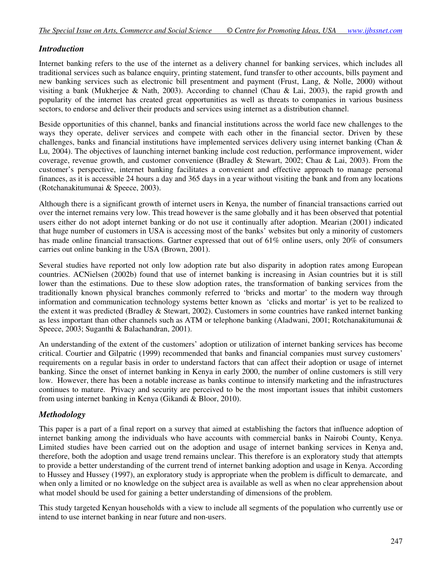## *Introduction*

Internet banking refers to the use of the internet as a delivery channel for banking services, which includes all traditional services such as balance enquiry, printing statement, fund transfer to other accounts, bills payment and new banking services such as electronic bill presentment and payment (Frust, Lang, & Nolle, 2000) without visiting a bank (Mukherjee & Nath, 2003). According to channel (Chau & Lai, 2003), the rapid growth and popularity of the internet has created great opportunities as well as threats to companies in various business sectors, to endorse and deliver their products and services using internet as a distribution channel.

Beside opportunities of this channel, banks and financial institutions across the world face new challenges to the ways they operate, deliver services and compete with each other in the financial sector. Driven by these challenges, banks and financial institutions have implemented services delivery using internet banking (Chan & Lu, 2004). The objectives of launching internet banking include cost reduction, performance improvement, wider coverage, revenue growth, and customer convenience (Bradley & Stewart, 2002; Chau & Lai, 2003). From the customer's perspective, internet banking facilitates a convenient and effective approach to manage personal finances, as it is accessible 24 hours a day and 365 days in a year without visiting the bank and from any locations (Rotchanakitumunai & Speece, 2003).

Although there is a significant growth of internet users in Kenya, the number of financial transactions carried out over the internet remains very low. This tread however is the same globally and it has been observed that potential users either do not adopt internet banking or do not use it continually after adoption. Mearian (2001) indicated that huge number of customers in USA is accessing most of the banks' websites but only a minority of customers has made online financial transactions. Gartner expressed that out of 61% online users, only 20% of consumers carries out online banking in the USA (Brown, 2001).

Several studies have reported not only low adoption rate but also disparity in adoption rates among European countries. ACNielsen (2002b) found that use of internet banking is increasing in Asian countries but it is still lower than the estimations. Due to these slow adoption rates, the transformation of banking services from the traditionally known physical branches commonly referred to 'bricks and mortar' to the modern way through information and communication technology systems better known as 'clicks and mortar' is yet to be realized to the extent it was predicted (Bradley & Stewart, 2002). Customers in some countries have ranked internet banking as less important than other channels such as ATM or telephone banking (Aladwani, 2001; Rotchanakitumunai & Speece, 2003; Suganthi & Balachandran, 2001).

An understanding of the extent of the customers' adoption or utilization of internet banking services has become critical. Courtier and Gilpatric (1999) recommended that banks and financial companies must survey customers' requirements on a regular basis in order to understand factors that can affect their adoption or usage of internet banking. Since the onset of internet banking in Kenya in early 2000, the number of online customers is still very low. However, there has been a notable increase as banks continue to intensify marketing and the infrastructures continues to mature. Privacy and security are perceived to be the most important issues that inhibit customers from using internet banking in Kenya (Gikandi & Bloor, 2010).

## *Methodology*

This paper is a part of a final report on a survey that aimed at establishing the factors that influence adoption of internet banking among the individuals who have accounts with commercial banks in Nairobi County, Kenya. Limited studies have been carried out on the adoption and usage of internet banking services in Kenya and, therefore, both the adoption and usage trend remains unclear. This therefore is an exploratory study that attempts to provide a better understanding of the current trend of internet banking adoption and usage in Kenya. According to Hussey and Hussey (1997), an exploratory study is appropriate when the problem is difficult to demarcate, and when only a limited or no knowledge on the subject area is available as well as when no clear apprehension about what model should be used for gaining a better understanding of dimensions of the problem.

This study targeted Kenyan households with a view to include all segments of the population who currently use or intend to use internet banking in near future and non-users.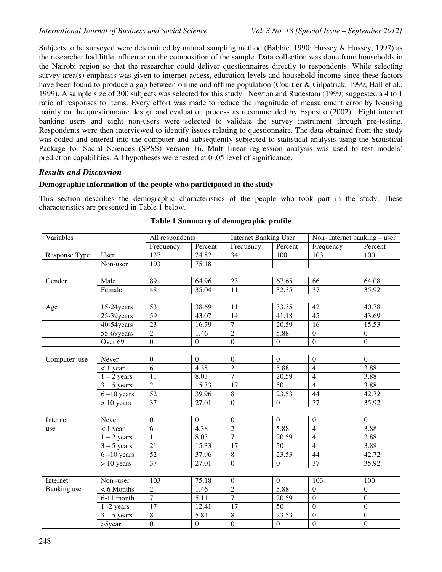Subjects to be surveyed were determined by natural sampling method (Babbie, 1990; Hussey & Hussey, 1997) as the researcher had little influence on the composition of the sample. Data collection was done from households in the Nairobi region so that the researcher could deliver questionnaires directly to respondents. While selecting survey area(s) emphasis was given to internet access, education levels and household income since these factors have been found to produce a gap between online and offline population (Courtier & Gilpatrick, 1999; Hall et al., 1999). A sample size of 300 subjects was selected for this study. Newton and Rudestam (1999) suggested a 4 to 1 ratio of responses to items. Every effort was made to reduce the magnitude of measurement error by focusing mainly on the questionnaire design and evaluation process as recommended by Esposito (2002). Eight internet banking users and eight non-users were selected to validate the survey instrument through pre-testing. Respondents were then interviewed to identify issues relating to questionnaire. The data obtained from the study was coded and entered into the computer and subsequently subjected to statistical analysis using the Statistical Package for Social Sciences (SPSS) version 16. Multi-linear regression analysis was used to test models' prediction capabilities. All hypotheses were tested at 0 .05 level of significance.

## *Results and Discussion*

### **Demographic information of the people who participated in the study**

This section describes the demographic characteristics of the people who took part in the study. These characteristics are presented in Table 1 below.

| Variables     |                         | All respondents  |                  | <b>Internet Banking User</b> |                    | Non-Internet banking – user |                  |  |
|---------------|-------------------------|------------------|------------------|------------------------------|--------------------|-----------------------------|------------------|--|
|               |                         | Frequency        | Percent          | Frequency                    | Percent            | Frequency                   | Percent          |  |
| Response Type | User                    | 137              | 24.82            | 34                           | 100                | 103                         | 100              |  |
|               | Non-user                | 103              | 75.18            |                              |                    |                             |                  |  |
|               |                         |                  |                  |                              |                    |                             |                  |  |
| Gender        | Male                    | 89               | 64.96            | 23                           | 67.65              | 66                          | 64.08            |  |
|               | Female                  | 48               | 35.04            | 11                           | $\overline{32.35}$ | $\overline{37}$             | 35.92            |  |
|               |                         |                  |                  |                              |                    |                             |                  |  |
| Age           | $15-24$ years           | $\overline{53}$  | 38.69            | 11                           | 33.35              | 42                          | 40.78            |  |
|               | 25-39years              | 59               | 43.07            | 14                           | 41.18              | $\overline{45}$             | 43.69            |  |
|               | 40-54 years             | $\overline{23}$  | 16.79            | $\tau$                       | 20.59              | 16                          | 15.53            |  |
|               | $55-69$ years           | $\overline{2}$   | 1.46             | $\overline{2}$               | 5.88               | $\mathbf{0}$                | $\mathbf{0}$     |  |
|               | Over <sub>69</sub>      | $\overline{0}$   | $\overline{0}$   | $\overline{0}$               | $\overline{0}$     | $\mathbf{0}$                | $\overline{0}$   |  |
|               |                         |                  |                  |                              |                    |                             |                  |  |
| Computer use  | Never                   | $\boldsymbol{0}$ | $\overline{0}$   | $\boldsymbol{0}$             | $\overline{0}$     | $\boldsymbol{0}$            | $\theta$         |  |
|               | $< 1$ year              | $\overline{6}$   | 4.38             | $\overline{2}$               | 5.88               | $\overline{4}$              | 3.88             |  |
|               | $1 - 2$ years           | $\overline{11}$  | 8.03             | $\overline{7}$               | 20.59              | $\overline{4}$              | 3.88             |  |
|               | $3 - 5$ years           | $\overline{21}$  | 15.33            | 17                           | 50                 | $\overline{4}$              | 3.88             |  |
|               | $6-10$ years            | 52               | 39.96            | $\overline{8}$               | 23.53              | 44                          | 42.72            |  |
|               | $> 10$ years            | 37               | 27.01            | $\overline{0}$               | $\overline{0}$     | $\overline{37}$             | 35.92            |  |
|               |                         |                  |                  |                              |                    |                             |                  |  |
| Internet      | Never                   | $\boldsymbol{0}$ | $\overline{0}$   | $\boldsymbol{0}$             | $\mathbf{0}$       | $\mathbf{0}$                | $\overline{0}$   |  |
| use           | $< 1$ year              | $\overline{6}$   | 4.38             | $\overline{2}$               | 5.88               | $\overline{4}$              | 3.88             |  |
|               | $1 - 2$ years           | 11               | 8.03             | $\overline{7}$               | 20.59              | $\overline{4}$              | 3.88             |  |
|               | $3 - 5$ years           | 21               | 15.33            | 17                           | $\overline{50}$    | $\overline{4}$              | 3.88             |  |
|               | $6-10$ years            | 52               | 37.96            | 8                            | 23.53              | $\overline{44}$             | 42.72            |  |
|               | $> 10$ years            | 37               | 27.01            | $\boldsymbol{0}$             | $\boldsymbol{0}$   | 37                          | 35.92            |  |
|               |                         |                  |                  |                              |                    |                             |                  |  |
| Internet      | Non-user                | 103              | 75.18            | $\boldsymbol{0}$             | $\mathbf{0}$       | 103                         | 100              |  |
| Banking use   | $< 6$ Months            | $\overline{2}$   | 1.46             | $\overline{2}$               | 5.88               | $\theta$                    | $\Omega$         |  |
|               | $\overline{6-1}1$ month | $\overline{7}$   | 5.11             | $\overline{7}$               | 20.59              | $\mathbf{0}$                | $\mathbf{0}$     |  |
|               | $1 - 2$ years           | 17               | 12.41            | $\overline{17}$              | $\overline{50}$    | $\mathbf{0}$                | $\mathbf{0}$     |  |
|               | $3 - 5$ years           | $\overline{8}$   | 5.84             | $\overline{8}$               | 23.53              | $\overline{0}$              | $\boldsymbol{0}$ |  |
|               | $>5$ year               | $\overline{0}$   | $\boldsymbol{0}$ | $\overline{0}$               | $\overline{0}$     | $\mathbf{0}$                | $\mathbf{0}$     |  |

#### **Table 1 Summary of demographic profile**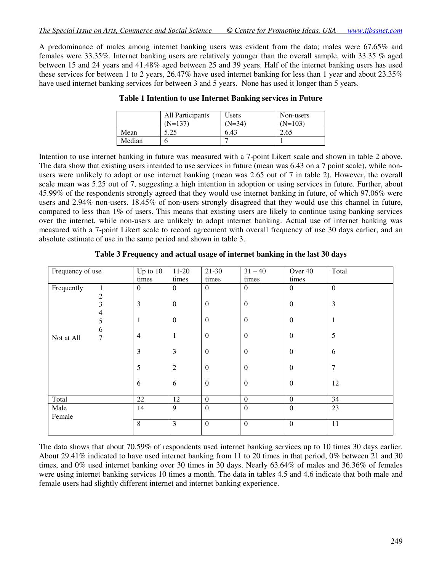A predominance of males among internet banking users was evident from the data; males were 67.65% and females were 33.35%. Internet banking users are relatively younger than the overall sample, with 33.35 % aged between 15 and 24 years and 41.48% aged between 25 and 39 years. Half of the internet banking users has used these services for between 1 to 2 years, 26.47% have used internet banking for less than 1 year and about 23.35% have used internet banking services for between 3 and 5 years. None has used it longer than 5 years.

|        | All Participants<br>$(N=137)$ | Users<br>$(N=34)$ | Non-users<br>$(N=103)$ |
|--------|-------------------------------|-------------------|------------------------|
| Mean   | 5.25                          | 6.43              | 2.65                   |
| Median |                               |                   |                        |

**Table 1 Intention to use Internet Banking services in Future** 

Intention to use internet banking in future was measured with a 7-point Likert scale and shown in table 2 above. The data show that existing users intended to use services in future (mean was 6.43 on a 7 point scale), while nonusers were unlikely to adopt or use internet banking (mean was 2.65 out of 7 in table 2). However, the overall scale mean was 5.25 out of 7, suggesting a high intention in adoption or using services in future. Further, about 45.99% of the respondents strongly agreed that they would use internet banking in future, of which 97.06% were users and 2.94% non-users. 18.45% of non-users strongly disagreed that they would use this channel in future, compared to less than  $1\%$  of users. This means that existing users are likely to continue using banking services over the internet, while non-users are unlikely to adopt internet banking. Actual use of internet banking was measured with a 7-point Likert scale to record agreement with overall frequency of use 30 days earlier, and an absolute estimate of use in the same period and shown in table 3.

| Frequency of use |        | Up to $10$       | $11-20$          | $21-30$          | $31 - 40$        | Over 40          | Total          |
|------------------|--------|------------------|------------------|------------------|------------------|------------------|----------------|
|                  |        | times            | times            | times            | times            | times            |                |
| Frequently       | 1<br>2 | $\boldsymbol{0}$ | $\mathbf{0}$     | $\mathbf{0}$     | $\theta$         | $\theta$         | $\mathbf{0}$   |
|                  | 3      | $\mathfrak{Z}$   | $\boldsymbol{0}$ | $\boldsymbol{0}$ | $\overline{0}$   | $\mathbf{0}$     | 3              |
|                  | 4<br>5 | 1                | $\boldsymbol{0}$ | $\boldsymbol{0}$ | $\theta$         | $\theta$         | 1              |
| Not at All       | 6<br>7 | $\overline{4}$   | $\mathbf{1}$     | $\boldsymbol{0}$ | $\overline{0}$   | $\mathbf{0}$     | 5              |
|                  |        | 3                | $\mathfrak{Z}$   | $\boldsymbol{0}$ | $\mathbf{0}$     | $\mathbf{0}$     | 6              |
|                  |        | 5                | $\overline{2}$   | $\boldsymbol{0}$ | $\overline{0}$   | $\boldsymbol{0}$ | $\overline{7}$ |
|                  |        | 6                | 6                | $\boldsymbol{0}$ | $\theta$         | $\mathbf{0}$     | 12             |
| Total            |        | $22\,$           | 12               | $\boldsymbol{0}$ | $\boldsymbol{0}$ | $\mathbf{0}$     | 34             |
| Male<br>Female   |        | 14               | 9                | $\overline{0}$   | $\boldsymbol{0}$ | $\boldsymbol{0}$ | 23             |
|                  |        | 8                | 3                | $\boldsymbol{0}$ | $\mathbf{0}$     | $\mathbf{0}$     | 11             |

**Table 3 Frequency and actual usage of internet banking in the last 30 days** 

The data shows that about 70.59% of respondents used internet banking services up to 10 times 30 days earlier. About 29.41% indicated to have used internet banking from 11 to 20 times in that period, 0% between 21 and 30 times, and 0% used internet banking over 30 times in 30 days. Nearly 63.64% of males and 36.36% of females were using internet banking services 10 times a month. The data in tables 4.5 and 4.6 indicate that both male and female users had slightly different internet and internet banking experience.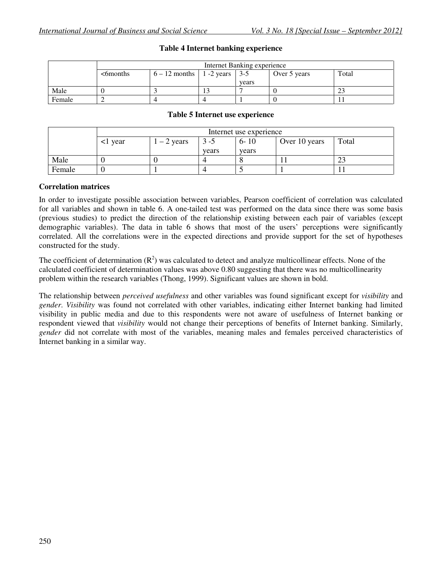|        | <b>Internet Banking experience</b> |       |  |       |  |  |  |  |  |  |  |
|--------|------------------------------------|-------|--|-------|--|--|--|--|--|--|--|
|        | $<$ 6 months                       | Total |  |       |  |  |  |  |  |  |  |
|        |                                    |       |  | vears |  |  |  |  |  |  |  |
| Male   |                                    |       |  |       |  |  |  |  |  |  |  |
| Female |                                    |       |  |       |  |  |  |  |  |  |  |

### **Table 4 Internet banking experience**

#### **Table 5 Internet use experience**

|        | Internet use experience |            |         |          |               |       |  |  |  |  |  |
|--------|-------------------------|------------|---------|----------|---------------|-------|--|--|--|--|--|
|        | l year                  | $-2$ years | $3 - 5$ | $6 - 10$ | Over 10 years | Total |  |  |  |  |  |
|        |                         |            | vears   | vears    |               |       |  |  |  |  |  |
| Male   |                         |            |         |          |               | ∠~    |  |  |  |  |  |
| Female |                         |            |         |          |               |       |  |  |  |  |  |

#### **Correlation matrices**

In order to investigate possible association between variables, Pearson coefficient of correlation was calculated for all variables and shown in table 6. A one-tailed test was performed on the data since there was some basis (previous studies) to predict the direction of the relationship existing between each pair of variables (except demographic variables). The data in table 6 shows that most of the users' perceptions were significantly correlated. All the correlations were in the expected directions and provide support for the set of hypotheses constructed for the study.

The coefficient of determination  $(R^2)$  was calculated to detect and analyze multicollinear effects. None of the calculated coefficient of determination values was above 0.80 suggesting that there was no multicollinearity problem within the research variables (Thong, 1999). Significant values are shown in bold.

The relationship between *perceived usefulness* and other variables was found significant except for *visibility* and *gender*. *Visibility* was found not correlated with other variables, indicating either Internet banking had limited visibility in public media and due to this respondents were not aware of usefulness of Internet banking or respondent viewed that *visibility* would not change their perceptions of benefits of Internet banking. Similarly, *gender* did not correlate with most of the variables, meaning males and females perceived characteristics of Internet banking in a similar way.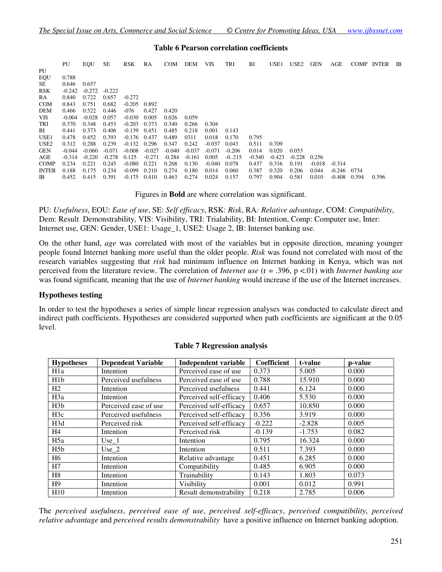#### **Table 6 Pearson correlation coefficients**

|                  | PU       | EQU      | SЕ       | <b>RSK</b> | RA       | COM      | DEM      | VIS      | TRI      | ВI       | USE <sub>1</sub> | USE <sub>2</sub> | <b>GEN</b> | AGE      | <b>COMP</b> | <b>INTER</b> | IB |
|------------------|----------|----------|----------|------------|----------|----------|----------|----------|----------|----------|------------------|------------------|------------|----------|-------------|--------------|----|
| PU               |          |          |          |            |          |          |          |          |          |          |                  |                  |            |          |             |              |    |
| EQU              | 0.788    |          |          |            |          |          |          |          |          |          |                  |                  |            |          |             |              |    |
| SE               | 0.646    | 0.657    |          |            |          |          |          |          |          |          |                  |                  |            |          |             |              |    |
| <b>RSK</b>       | $-0.242$ | $-0.272$ | $-0.222$ |            |          |          |          |          |          |          |                  |                  |            |          |             |              |    |
| <b>RA</b>        | 0.840    | 0.722    | 0.657    | $-0.272$   |          |          |          |          |          |          |                  |                  |            |          |             |              |    |
| <b>COM</b>       | 0.843    | 0.751    | 0.682    | $-0.205$   | 0.892    |          |          |          |          |          |                  |                  |            |          |             |              |    |
| <b>DEM</b>       | 0.466    | 0.522    | 0.446    | -076       | 0.427    | 0.420    |          |          |          |          |                  |                  |            |          |             |              |    |
| <b>VIS</b>       | $-0.004$ | $-0.028$ | 0.057    | $-0.030$   | 0.005    | 0.026    | 0.059    |          |          |          |                  |                  |            |          |             |              |    |
| TRI              | 0.370    | 0.348    | 0.453    | $-0.203$   | 0.373    | 0.340    | 0.266    | 0.304    |          |          |                  |                  |            |          |             |              |    |
| BI               | 0.441    | 0.373    | 0.406    | $-0.139$   | 0.451    | 0.485    | 0.218    | 0.001    | 0.143    |          |                  |                  |            |          |             |              |    |
| USE <sub>1</sub> | 0.478    | 0.452    | 0.393    | -0.176     | 0.437    | 0.489    | 0311     | 0.018    | 0.170    | 0.795    |                  |                  |            |          |             |              |    |
| USE <sub>2</sub> | 0.312    | 0.288    | 0.239    | $-0.132$   | 0.296    | 0.347    | 0.242    | $-0.037$ | 0.043    | 0.511    | 0.709            |                  |            |          |             |              |    |
| <b>GEN</b>       | $-0.044$ | $-0.060$ | $-0.071$ | $-0.008$   | $-0.027$ | $-0.040$ | $-0.037$ | $-0.071$ | $-0.206$ | 0.014    | 0.020            | 0.053            |            |          |             |              |    |
| AGE              | $-0.314$ | $-0.220$ | $-0.278$ | 0.125      | $-0.271$ | $-0.284$ | $-0.161$ | 0.005    | $-0.215$ | $-0.540$ | $-0.423$         | $-0.228$         | 0.256      |          |             |              |    |
| <b>COMP</b>      | 0.234    | 0.221    | 0.245    | $-0.080$   | 0.221    | 0.268    | 0.130    | $-0.040$ | 0.078    | 0.437    | 0.316            | 0.191            | $-0.018$   | $-0.314$ |             |              |    |
| <b>INTER</b>     | 0.188    | 0.175    | 0.234    | $-0.099$   | 0.210    | 0.274    | 0.180    | 0.014    | 0.060    | 0.387    | 0.320            | 0.206            | 0.044      | $-0.246$ | 0734        |              |    |
| IB               | 0.452    | 0.415    | 0.391    | $-0.175$   | 0.410    | 0.463    | 0.274    | 0.024    | 0.157    | 0.797    | 0.904            | 0.581            | 0.010      | $-0.408$ | 0.394       | 0.396        |    |

Figures in **Bold** are where correlation was significant.

PU: *Usefulness*, EOU: *Ease of use*, SE: *Self efficacy*, RSK: *Risk*, RA*: Relative advantage*, COM: *Compatibility*, Dem: Result Demonstrability, VIS: Visibility, TRI: Trialability, BI: Intention, Comp: Computer use, Inter: Internet use, GEN: Gender, USE1: Usage\_1, USE2: Usage 2, IB: Internet banking use.

On the other hand, *age* was correlated with most of the variables but in opposite direction, meaning younger people found Internet banking more useful than the older people. *Risk* was found not correlated with most of the research variables suggesting that *risk* had minimum influence on Internet banking in Kenya, which was not perceived from the literature review. The correlation of *Internet use* (r = .396, p <.01) with *Internet banking use*  was found significant*,* meaning that the use of *Internet banking* would increase if the use of the Internet increases.

#### **Hypotheses testing**

In order to test the hypotheses a series of simple linear regression analyses was conducted to calculate direct and indirect path coefficients. Hypotheses are considered supported when path coefficients are significant at the 0.05 level.

| <b>Hypotheses</b> | <b>Dependent Variable</b> | <b>Independent variable</b> | Coefficient | t-value  | p-value |
|-------------------|---------------------------|-----------------------------|-------------|----------|---------|
| H <sub>1</sub> a  | Intention                 | Perceived ease of use       | 0.373       | 5.005    | 0.000   |
| H1b               | Perceived usefulness      | Perceived ease of use       | 0.788       | 15.910   | 0.000   |
| H <sub>2</sub>    | Intention                 | Perceived usefulness        | 0.441       | 6.124    | 0.000   |
| H3a               | Intention                 | Perceived self-efficacy     | 0.406       | 5.530    | 0.000   |
| H3b               | Perceived ease of use     | Perceived self-efficacy     | 0.657       | 10.850   | 0.000   |
| H3c               | Perceived usefulness      | Perceived self-efficacy     | 0.356       | 3.919    | 0.000   |
| H3d               | Perceived risk            | Perceived self-efficacy     | $-0.222$    | $-2.828$ | 0.005   |
| H4                | Intention                 | Perceived risk              | $-0.139$    | $-1.753$ | 0.082   |
| H <sub>5a</sub>   | Use $1$                   | Intention                   | 0.795       | 16.324   | 0.000   |
| H5b               | $Use_2$                   | Intention                   | 0.511       | 7.393    | 0.000   |
| H6                | Intention                 | Relative advantage          | 0.451       | 6.285    | 0.000   |
| H7                | Intention                 | Compatibility               | 0.485       | 6.905    | 0.000   |
| H8                | Intention                 | Trainability                | 0.143       | 1.803    | 0.073   |
| H9                | Intention                 | Visibility                  | 0.001       | 0.012    | 0.991   |
| H10               | Intention                 | Result demonstrability      | 0.218       | 2.785    | 0.006   |

#### **Table 7 Regression analysis**

The *perceived usefulness*, *perceived ease of use*, *perceived self-efficacy*, *perceived compatibility*, *perceived relative advantage* and *perceived results demonstrability* have a positive influence on Internet banking adoption.